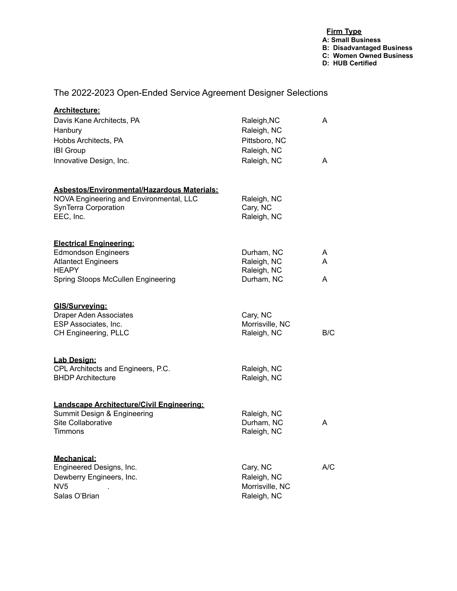## **Firm Type A: Small Business B: Disadvantaged Business C: Women Owned Business D: HUB Certified**

## The 2022-2023 Open-Ended Service Agreement Designer Selections

| <b>Architecture:</b>                                           |                             |     |
|----------------------------------------------------------------|-----------------------------|-----|
| Davis Kane Architects, PA                                      | Raleigh, NC                 | A   |
| Hanbury                                                        | Raleigh, NC                 |     |
| Hobbs Architects, PA                                           | Pittsboro, NC               |     |
| <b>IBI Group</b>                                               | Raleigh, NC                 |     |
| Innovative Design, Inc.                                        | Raleigh, NC                 | A   |
| <b>Asbestos/Environmental/Hazardous Materials:</b>             |                             |     |
| NOVA Engineering and Environmental, LLC                        | Raleigh, NC                 |     |
| SynTerra Corporation<br>EEC, Inc.                              | Cary, NC                    |     |
|                                                                | Raleigh, NC                 |     |
| <b>Electrical Engineering:</b>                                 |                             |     |
| <b>Edmondson Engineers</b>                                     | Durham, NC                  | A   |
| <b>Atlantect Engineers</b><br><b>HEAPY</b>                     | Raleigh, NC<br>Raleigh, NC  | A   |
| Spring Stoops McCullen Engineering                             | Durham, NC                  | A   |
|                                                                |                             |     |
| GIS/Surveying:                                                 |                             |     |
| <b>Draper Aden Associates</b><br>ESP Associates, Inc.          | Cary, NC<br>Morrisville, NC |     |
| CH Engineering, PLLC                                           | Raleigh, NC                 | B/C |
|                                                                |                             |     |
| Lab Design:                                                    |                             |     |
| CPL Architects and Engineers, P.C.<br><b>BHDP Architecture</b> | Raleigh, NC                 |     |
|                                                                | Raleigh, NC                 |     |
| Landscape Architecture/Civil Engineering:                      |                             |     |
| Summit Design & Engineering                                    | Raleigh, NC                 |     |
| Site Collaborative                                             | Durham, NC                  | A   |
| <b>Timmons</b>                                                 | Raleigh, NC                 |     |
| Mechanical:                                                    |                             |     |
| Engineered Designs, Inc.                                       | Cary, NC                    | A/C |
| Dewberry Engineers, Inc.                                       | Raleigh, NC                 |     |
| NV <sub>5</sub>                                                | Morrisville, NC             |     |
| Salas O'Brian                                                  | Raleigh, NC                 |     |